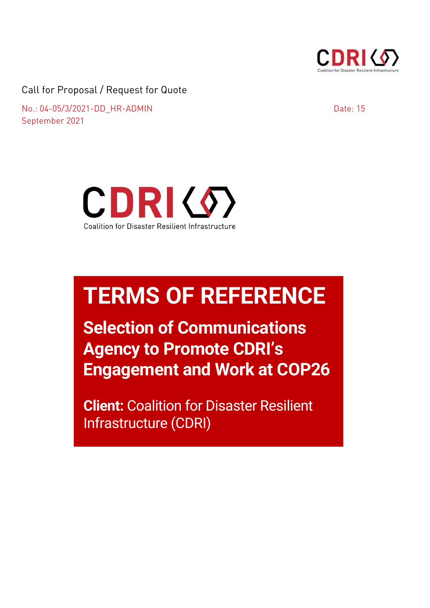

Call for Proposal / Request for Quote

 $\frac{1}{\sqrt{1-\frac{1}{\sqrt{1-\frac{1}{\sqrt{1-\frac{1}{\sqrt{1-\frac{1}{\sqrt{1-\frac{1}{\sqrt{1-\frac{1}{\sqrt{1-\frac{1}{\sqrt{1-\frac{1}{\sqrt{1-\frac{1}{\sqrt{1-\frac{1}{\sqrt{1-\frac{1}{\sqrt{1-\frac{1}{\sqrt{1-\frac{1}{\sqrt{1-\frac{1}{\sqrt{1-\frac{1}{\sqrt{1-\frac{1}{\sqrt{1-\frac{1}{\sqrt{1-\frac{1}{\sqrt{1-\frac{1}{\sqrt{1-\frac{1}{\sqrt{1-\frac{1}{\sqrt{1-\frac{1}{\sqrt{1-\frac{1}{\sqrt{1-\frac{1$ September 2021

Date:  $15$ 



# **TERMS OF REFERENCE**

**Selection of Communications Agency to Promote CDRI's Engagement and Work at COP26**

**Client:** Coalition for Disaster Resilient Infrastructure (CDRI)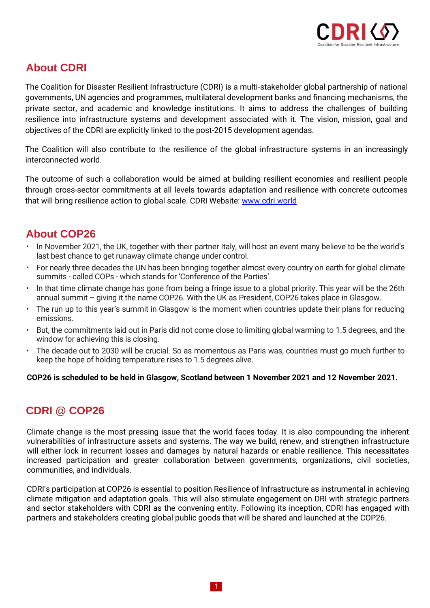

## **About CDRI**

The Coalition for Disaster Resilient Infrastructure (CDRI) is a multi-stakeholder global partnership of national governments, UN agencies and programmes, multilateral development banks and financing mechanisms, the private sector, and academic and knowledge institutions. It aims to address the challenges of building resilience into infrastructure systems and development associated with it. The vision, mission, goal and objectives of the CDRI are explicitly linked to the post-2015 development agendas.

The Coalition will also contribute to the resilience of the global infrastructure systems in an increasingly interconnected world.

The outcome of such a collaboration would be aimed at building resilient economies and resilient people through cross-sector commitments at all levels towards adaptation and resilience with concrete outcomes that will bring resilience action to global scale. CDRI Website: [www.cdri.world](http://www.cdri.world/)

## **About COP26**

- In November 2021, the UK, together with their partner Italy, will host an event many believe to be the world's last best chance to get runaway climate change under control.
- For nearly three decades the UN has been bringing together almost every country on earth for global climate summits - called COPs - which stands for 'Conference of the Parties'.
- In that time climate change has gone from being a fringe issue to a global priority. This year will be the 26th annual summit – giving it the name COP26. With the UK as President, COP26 takes place in Glasgow.
- The run up to this year's summit in Glasgow is the moment when countries update their plans for reducing emissions.
- But, the commitments laid out in Paris did not come close to limiting global warming to 1.5 degrees, and the window for achieving this is closing.
- The decade out to 2030 will be crucial. So as momentous as Paris was, countries must go much further to keep the hope of holding temperature rises to 1.5 degrees alive.

**COP26 is scheduled to be held in Glasgow, Scotland between 1 November 2021 and 12 November 2021.**

## **CDRI @ COP26**

Climate change is the most pressing issue that the world faces today. It is also compounding the inherent vulnerabilities of infrastructure assets and systems. The way we build, renew, and strengthen infrastructure will either lock in recurrent losses and damages by natural hazards or enable resilience. This necessitates increased participation and greater collaboration between governments, organizations, civil societies, communities, and individuals.

CDRI's participation at COP26 is essential to position Resilience of Infrastructure as instrumental in achieving climate mitigation and adaptation goals. This will also stimulate engagement on DRI with strategic partners and sector stakeholders with CDRI as the convening entity. Following its inception, CDRI has engaged with partners and stakeholders creating global public goods that will be shared and launched at the COP26.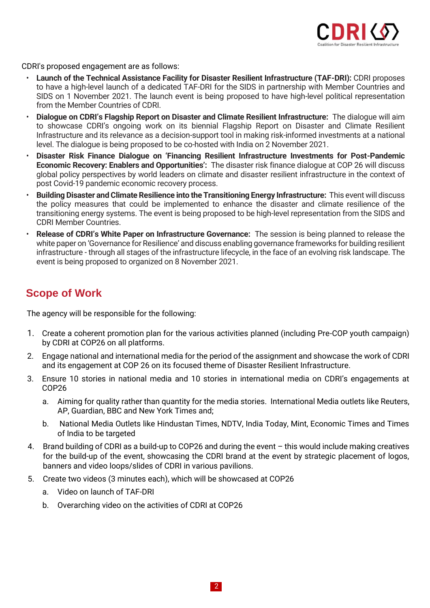

CDRI's proposed engagement are as follows:

- **Launch of the Technical Assistance Facility for Disaster Resilient Infrastructure (TAF-DRI):** CDRI proposes to have a high-level launch of a dedicated TAF-DRI for the SIDS in partnership with Member Countries and SIDS on 1 November 2021. The launch event is being proposed to have high-level political representation from the Member Countries of CDRI.
- **Dialogue on CDRI's Flagship Report on Disaster and Climate Resilient Infrastructure:** The dialogue will aim to showcase CDRI's ongoing work on its biennial Flagship Report on Disaster and Climate Resilient Infrastructure and its relevance as a decision-support tool in making risk-informed investments at a national level. The dialogue is being proposed to be co-hosted with India on 2 November 2021.
- **Disaster Risk Finance Dialogue on 'Financing Resilient Infrastructure Investments for Post-Pandemic Economic Recovery: Enablers and Opportunities':** The disaster risk finance dialogue at COP 26 will discuss global policy perspectives by world leaders on climate and disaster resilient infrastructure in the context of post Covid-19 pandemic economic recovery process.
- **Building Disaster and Climate Resilience into the Transitioning Energy Infrastructure:** This event will discuss the policy measures that could be implemented to enhance the disaster and climate resilience of the transitioning energy systems. The event is being proposed to be high-level representation from the SIDS and CDRI Member Countries.
- **Release of CDRI's White Paper on Infrastructure Governance:** The session is being planned to release the white paper on 'Governance for Resilience' and discuss enabling governance frameworks for building resilient infrastructure - through all stages of the infrastructure lifecycle, in the face of an evolving risk landscape. The event is being proposed to organized on 8 November 2021.

## **Scope of Work**

The agency will be responsible for the following:

- 1. Create a coherent promotion plan for the various activities planned (including Pre-COP youth campaign) by CDRI at COP26 on all platforms.
- 2. Engage national and international media for the period of the assignment and showcase the work of CDRI and its engagement at COP 26 on its focused theme of Disaster Resilient Infrastructure.
- 3. Ensure 10 stories in national media and 10 stories in international media on CDRI's engagements at COP26
	- a. Aiming for quality rather than quantity for the media stories. International Media outlets like Reuters, AP, Guardian, BBC and New York Times and;
	- b. National Media Outlets like Hindustan Times, NDTV, India Today, Mint, Economic Times and Times of India to be targeted
- 4. Brand building of CDRI as a build-up to COP26 and during the event this would include making creatives for the build-up of the event, showcasing the CDRI brand at the event by strategic placement of logos, banners and video loops/slides of CDRI in various pavilions.
- 5. Create two videos (3 minutes each), which will be showcased at COP26
	- a. Video on launch of TAF-DRI
	- b. Overarching video on the activities of CDRI at COP26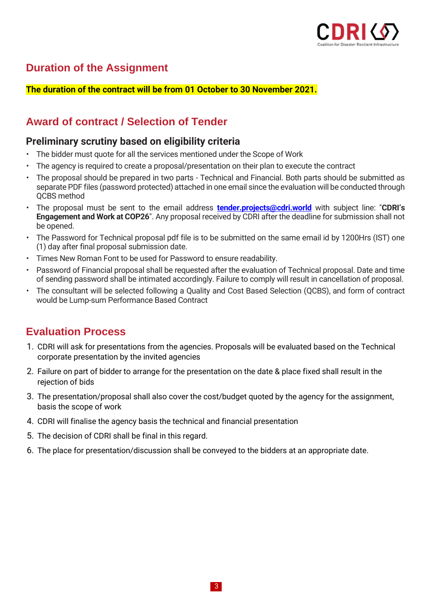

## **Duration of the Assignment**

#### **The duration of the contract will be from 01 October to 30 November 2021.**

## **Award of contract / Selection of Tender**

### **Preliminary scrutiny based on eligibility criteria**

- The bidder must quote for all the services mentioned under the Scope of Work
- The agency is required to create a proposal/presentation on their plan to execute the contract
- The proposal should be prepared in two parts Technical and Financial. Both parts should be submitted as separate PDF files (password protected) attached in one email since the evaluation will be conducted through QCBS method
- The proposal must be sent to the email address **[tender.projects@cdri.world](mailto:tender.projects@cdri.world)** with subject line: "**CDRI's Engagement and Work at COP26**". Any proposal received by CDRI after the deadline for submission shall not be opened.
- The Password for Technical proposal pdf file is to be submitted on the same email id by 1200Hrs (IST) one (1) day after final proposal submission date.
- Times New Roman Font to be used for Password to ensure readability.
- Password of Financial proposal shall be requested after the evaluation of Technical proposal. Date and time of sending password shall be intimated accordingly. Failure to comply will result in cancellation of proposal.
- The consultant will be selected following a Quality and Cost Based Selection (QCBS), and form of contract would be Lump-sum Performance Based Contract

## **Evaluation Process**

- 1. CDRI will ask for presentations from the agencies. Proposals will be evaluated based on the Technical corporate presentation by the invited agencies
- 2. Failure on part of bidder to arrange for the presentation on the date & place fixed shall result in the rejection of bids
- 3. The presentation/proposal shall also cover the cost/budget quoted by the agency for the assignment, basis the scope of work
- 4. CDRI will finalise the agency basis the technical and financial presentation
- 5. The decision of CDRI shall be final in this regard.
- 6. The place for presentation/discussion shall be conveyed to the bidders at an appropriate date.